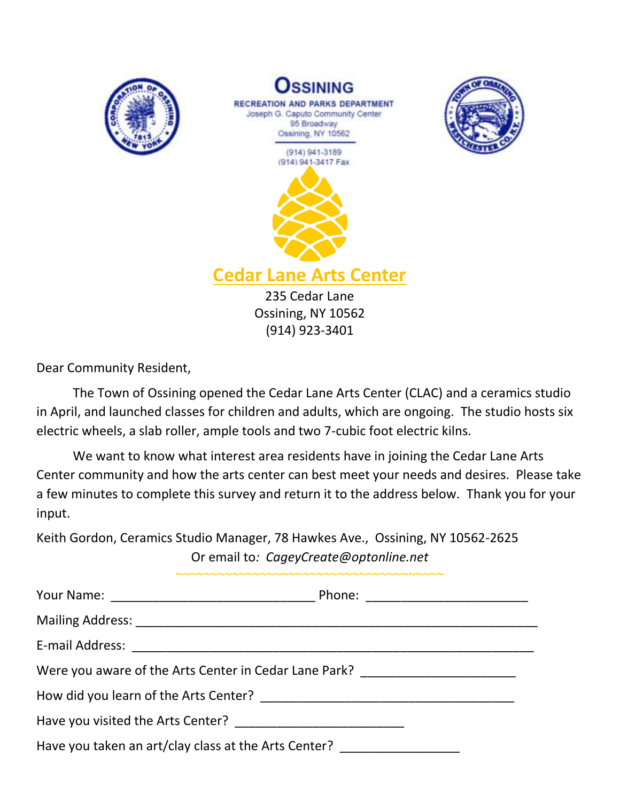





**Cedar Lane Arts Center**

235 Cedar Lane Ossining, NY 10562 (914) 923-3401

Dear Community Resident,

The Town of Ossining opened the Cedar Lane Arts Center (CLAC) and a ceramics studio in April, and launched classes for children and adults, which are ongoing. The studio hosts six electric wheels, a slab roller, ample tools and two 7-cubic foot electric kilns.

We want to know what interest area residents have in joining the Cedar Lane Arts Center community and how the arts center can best meet your needs and desires. Please take a few minutes to complete this survey and return it to the address below. Thank you for your input.

Keith Gordon, Ceramics Studio Manager, 78 Hawkes Ave., Ossining, NY 10562-2625 Or email to*: CageyCreate@optonline.net*

| Were you aware of the Arts Center in Cedar Lane Park? __________________________ |  |  |  |  |  |
|----------------------------------------------------------------------------------|--|--|--|--|--|
|                                                                                  |  |  |  |  |  |
|                                                                                  |  |  |  |  |  |
| Have you taken an art/clay class at the Arts Center? _______________             |  |  |  |  |  |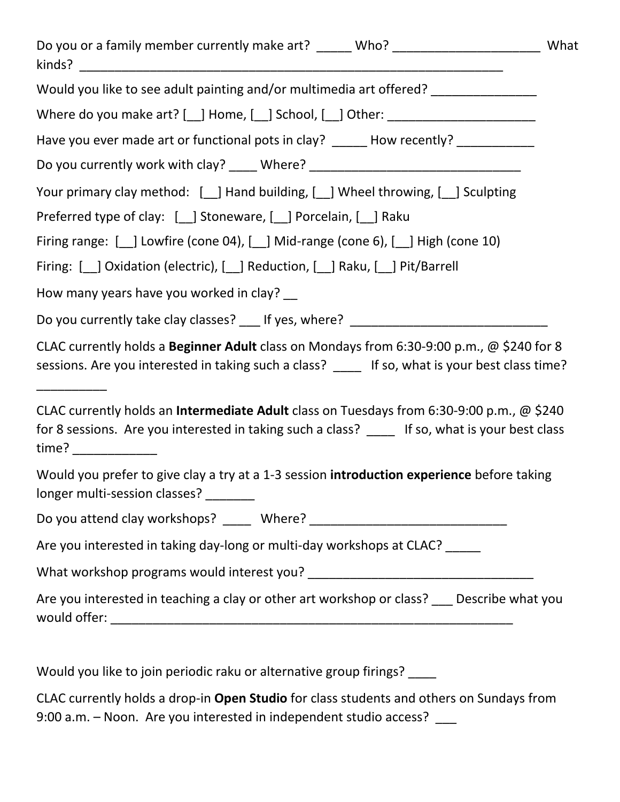| Do you or a family member currently make art? _____ Who? _______________________                                                                                                                             | What |
|--------------------------------------------------------------------------------------------------------------------------------------------------------------------------------------------------------------|------|
| Would you like to see adult painting and/or multimedia art offered? _____________                                                                                                                            |      |
| Where do you make art? [_] Home, [_] School, [_] Other: ________________________                                                                                                                             |      |
| Have you ever made art or functional pots in clay? ______ How recently? __________                                                                                                                           |      |
| Do you currently work with clay? _____ Where? __________________________________                                                                                                                             |      |
| Your primary clay method: [10] Hand building, [10] Wheel throwing, [10] Sculpting                                                                                                                            |      |
| Preferred type of clay: [_] Stoneware, [_] Porcelain, [_] Raku                                                                                                                                               |      |
| Firing range: [_] Lowfire (cone 04), [_] Mid-range (cone 6), [_] High (cone 10)                                                                                                                              |      |
| Firing: [ ] Oxidation (electric), [ ] Reduction, [ ] Raku, [ ] Pit/Barrell                                                                                                                                   |      |
| How many years have you worked in clay? __                                                                                                                                                                   |      |
| Do you currently take clay classes? ___ If yes, where? _________________________                                                                                                                             |      |
| CLAC currently holds a Beginner Adult class on Mondays from 6:30-9:00 p.m., @ \$240 for 8<br>sessions. Are you interested in taking such a class? _____ If so, what is your best class time?                 |      |
| CLAC currently holds an <b>Intermediate Adult</b> class on Tuesdays from 6:30-9:00 p.m., @ \$240<br>for 8 sessions. Are you interested in taking such a class? _____ If so, what is your best class<br>time? |      |
| Would you prefer to give clay a try at a 1-3 session introduction experience before taking<br>longer multi-session classes?                                                                                  |      |
|                                                                                                                                                                                                              |      |
| Are you interested in taking day-long or multi-day workshops at CLAC? _____                                                                                                                                  |      |
|                                                                                                                                                                                                              |      |
| Are you interested in teaching a clay or other art workshop or class? __ Describe what you                                                                                                                   |      |
|                                                                                                                                                                                                              |      |

Would you like to join periodic raku or alternative group firings? \_\_\_\_

CLAC currently holds a drop-in **Open Studio** for class students and others on Sundays from 9:00 a.m. - Noon. Are you interested in independent studio access? \_\_\_